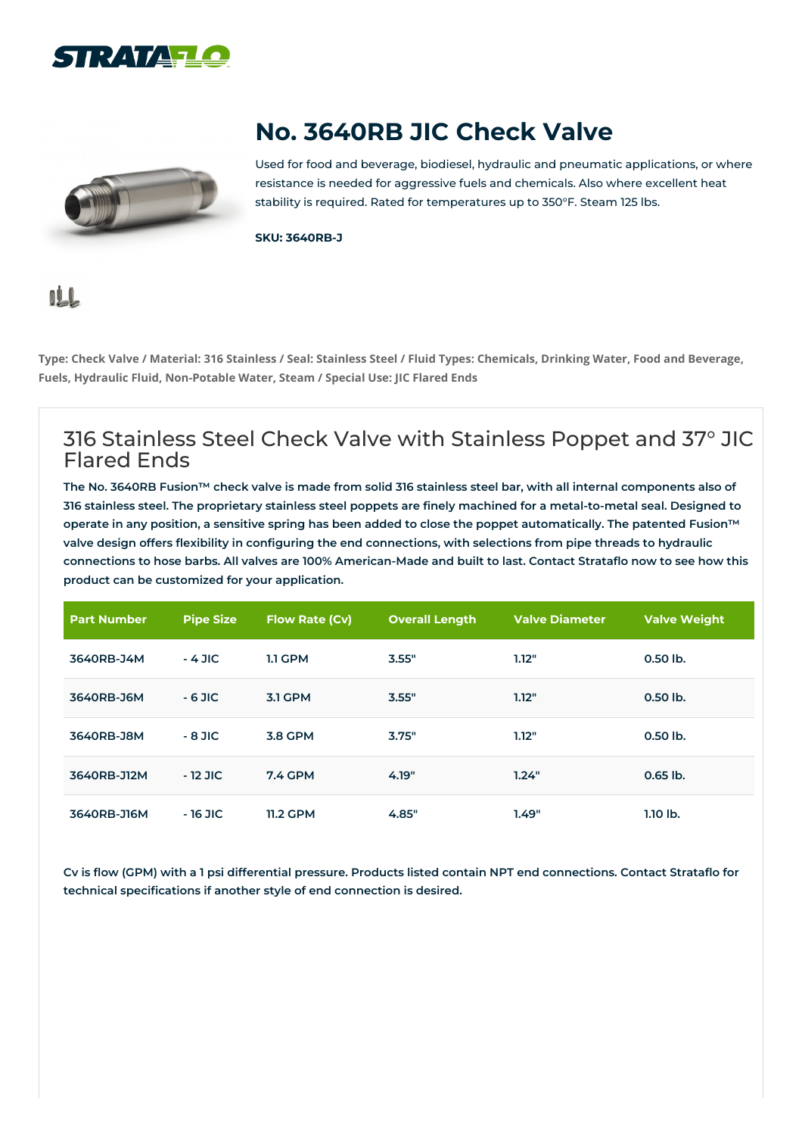



## **No. 3640RB JIC Check Valve**

Used for food and beverage, biodiesel, hydraulic and pneumatic applications, or where resistance is needed for aggressive fuels and chemicals. Also where excellent heat stability is required. Rated for temperatures up to 350°F. Steam 125 lbs.

**SKU: 3640RB-J**

## <u>nLû</u>

Type: Check Valve / Material: 316 Stainless / Seal: Stainless Steel / Fluid Types: Chemicals, Drinking Water, Food and Beverage, **Fuels, Hydraulic Fluid, Non-Potable Water, Steam / Special Use: JIC Flared Ends**

## 316 Stainless Steel Check Valve with Stainless Poppet and 37° JIC Flared Ends

The No. 3640RB Fusion™ check valve is made from solid 316 stainless steel bar, with all internal components also of 316 stainless steel. The proprietary stainless steel poppets are finely machined for a metal-to-metal seal. Designed to operate in any position, a sensitive spring has been added to close the poppet automatically. The patented Fusion™ valve design offers flexibility in configuring the end connections, with selections from pipe threads to hydraulic connections to hose barbs. All valves are 100% American-Made and built to last. Contact Strataflo now to see how this **product can be customized for your application.**

| <b>Part Number</b> | <b>Pipe Size</b> | <b>Flow Rate (Cv)</b> | <b>Overall Length</b> | <b>Valve Diameter</b> | <b>Valve Weight</b> |
|--------------------|------------------|-----------------------|-----------------------|-----------------------|---------------------|
| 3640RB-J4M         | $-4$ JIC         | <b>1.1 GPM</b>        | 3.55"                 | 1.12"                 | 0.50 lb.            |
| 3640RB-J6M         | $-6$ JIC         | <b>3.1 GPM</b>        | 3.55"                 | 1.12"                 | $0.50$ lb.          |
| 3640RB-J8M         | $-8$ JIC         | 3.8 GPM               | 3.75"                 | 1.12"                 | $0.50$ lb.          |
| 3640RB-J12M        | $-12$ JIC        | <b>7.4 GPM</b>        | 4.19"                 | 1.24"                 | $0.65$ lb.          |
| 3640RB-J16M        | $-16$ JIC        | <b>11.2 GPM</b>       | 4.85"                 | 1.49"                 | $1.10$ lb.          |

Cv is flow (GPM) with a 1 psi differential pressure. Products listed contain NPT end connections. Contact Strataflo for **technical specifications if another style of end connection is desired.**